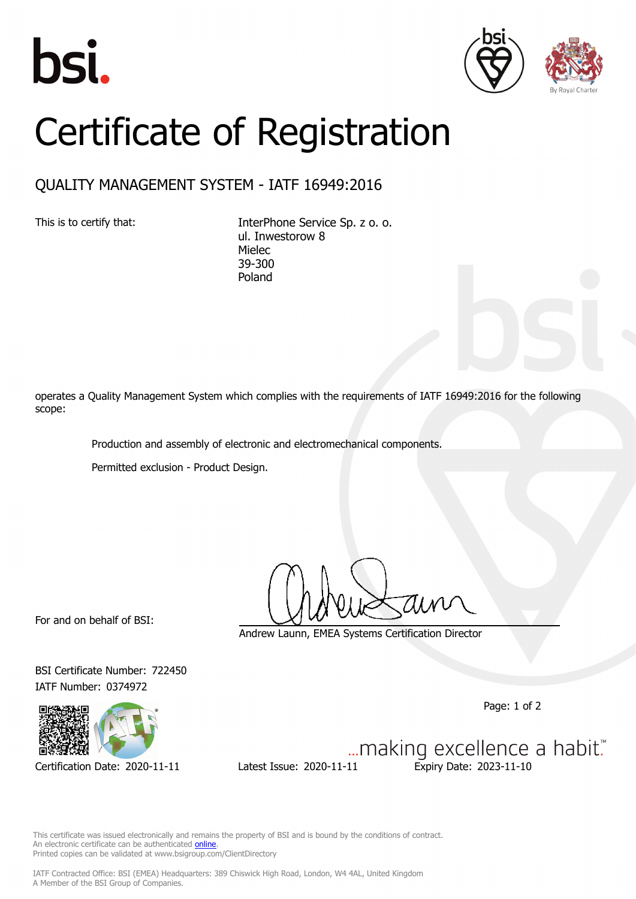





## Certificate of Registration

## QUALITY MANAGEMENT SYSTEM - IATF 16949:2016

This is to certify that: InterPhone Service Sp. z o. o. ul. Inwestorow 8 Mielec 39-300 Poland

operates a Quality Management System which complies with the requirements of IATF 16949:2016 for the following scope:

Production and assembly of electronic and electromechanical components.

Permitted exclusion - Product Design.

For and on behalf of BSI:

Andrew Launn, EMEA Systems Certification Director

IATF Number: 0374972



BSI Certificate Number: 722450

Page: 1 of 2

... making excellence a habit." Certification Date: 2020-11-11 Latest Issue: 2020-11-11 Expiry Date: 2023-11-10

This certificate was issued electronically and remains the property of BSI and is bound by the conditions of contract. An electronic certificate can be authenticated **[online](https://pgplus.bsigroup.com/CertificateValidation/CertificateValidator.aspx?CertificateNumber=TS+722450&ReIssueDate=11%2f11%2f2020&Template=cemea_en)** Printed copies can be validated at www.bsigroup.com/ClientDirectory

IATF Contracted Office: BSI (EMEA) Headquarters: 389 Chiswick High Road, London, W4 4AL, United Kingdom A Member of the BSI Group of Companies.